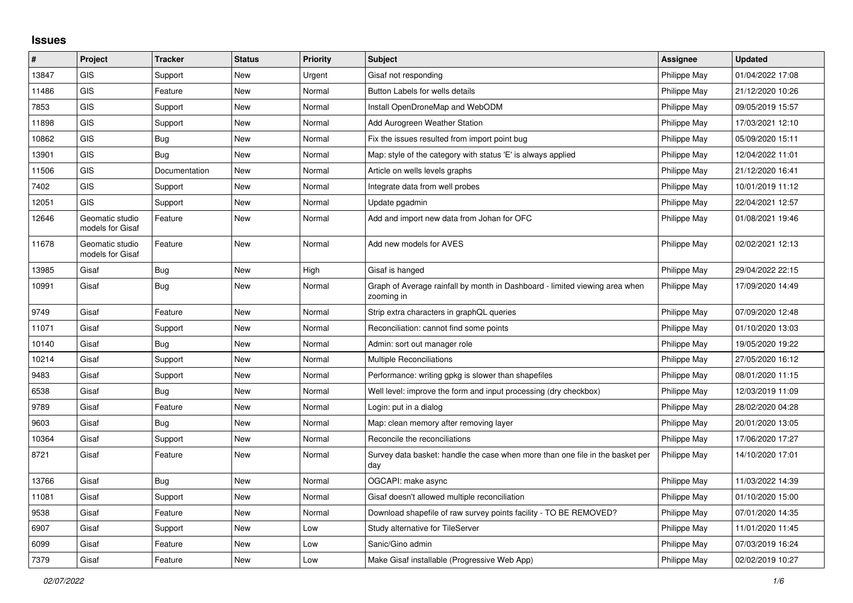## **Issues**

| #     | Project                             | <b>Tracker</b> | <b>Status</b> | <b>Priority</b> | <b>Subject</b>                                                                            | Assignee     | <b>Updated</b>   |
|-------|-------------------------------------|----------------|---------------|-----------------|-------------------------------------------------------------------------------------------|--------------|------------------|
| 13847 | GIS                                 | Support        | New           | Urgent          | Gisaf not responding                                                                      | Philippe May | 01/04/2022 17:08 |
| 11486 | GIS                                 | Feature        | New           | Normal          | Button Labels for wells details                                                           | Philippe May | 21/12/2020 10:26 |
| 7853  | GIS                                 | Support        | New           | Normal          | Install OpenDroneMap and WebODM                                                           | Philippe May | 09/05/2019 15:57 |
| 11898 | GIS                                 | Support        | <b>New</b>    | Normal          | Add Aurogreen Weather Station                                                             | Philippe May | 17/03/2021 12:10 |
| 10862 | GIS                                 | Bug            | New           | Normal          | Fix the issues resulted from import point bug                                             | Philippe May | 05/09/2020 15:11 |
| 13901 | <b>GIS</b>                          | Bug            | New           | Normal          | Map: style of the category with status 'E' is always applied                              | Philippe May | 12/04/2022 11:01 |
| 11506 | <b>GIS</b>                          | Documentation  | New           | Normal          | Article on wells levels graphs                                                            | Philippe May | 21/12/2020 16:41 |
| 7402  | <b>GIS</b>                          | Support        | New           | Normal          | Integrate data from well probes                                                           | Philippe May | 10/01/2019 11:12 |
| 12051 | <b>GIS</b>                          | Support        | New           | Normal          | Update pgadmin                                                                            | Philippe May | 22/04/2021 12:57 |
| 12646 | Geomatic studio<br>models for Gisaf | Feature        | New           | Normal          | Add and import new data from Johan for OFC                                                | Philippe May | 01/08/2021 19:46 |
| 11678 | Geomatic studio<br>models for Gisaf | Feature        | New           | Normal          | Add new models for AVES                                                                   | Philippe May | 02/02/2021 12:13 |
| 13985 | Gisaf                               | <b>Bug</b>     | New           | High            | Gisaf is hanged                                                                           | Philippe May | 29/04/2022 22:15 |
| 10991 | Gisaf                               | Bug            | New           | Normal          | Graph of Average rainfall by month in Dashboard - limited viewing area when<br>zooming in | Philippe May | 17/09/2020 14:49 |
| 9749  | Gisaf                               | Feature        | <b>New</b>    | Normal          | Strip extra characters in graphQL queries                                                 | Philippe May | 07/09/2020 12:48 |
| 11071 | Gisaf                               | Support        | New           | Normal          | Reconciliation: cannot find some points                                                   | Philippe May | 01/10/2020 13:03 |
| 10140 | Gisaf                               | Bug            | New           | Normal          | Admin: sort out manager role                                                              | Philippe May | 19/05/2020 19:22 |
| 10214 | Gisaf                               | Support        | New           | Normal          | <b>Multiple Reconciliations</b>                                                           | Philippe May | 27/05/2020 16:12 |
| 9483  | Gisaf                               | Support        | New           | Normal          | Performance: writing gpkg is slower than shapefiles                                       | Philippe May | 08/01/2020 11:15 |
| 6538  | Gisaf                               | Bug            | <b>New</b>    | Normal          | Well level: improve the form and input processing (dry checkbox)                          | Philippe May | 12/03/2019 11:09 |
| 9789  | Gisaf                               | Feature        | New           | Normal          | Login: put in a dialog                                                                    | Philippe May | 28/02/2020 04:28 |
| 9603  | Gisaf                               | Bug            | New           | Normal          | Map: clean memory after removing layer                                                    | Philippe May | 20/01/2020 13:05 |
| 10364 | Gisaf                               | Support        | New           | Normal          | Reconcile the reconciliations                                                             | Philippe May | 17/06/2020 17:27 |
| 8721  | Gisaf                               | Feature        | <b>New</b>    | Normal          | Survey data basket: handle the case when more than one file in the basket per<br>day      | Philippe May | 14/10/2020 17:01 |
| 13766 | Gisaf                               | Bug            | <b>New</b>    | Normal          | OGCAPI: make async                                                                        | Philippe May | 11/03/2022 14:39 |
| 11081 | Gisaf                               | Support        | New           | Normal          | Gisaf doesn't allowed multiple reconciliation                                             | Philippe May | 01/10/2020 15:00 |
| 9538  | Gisaf                               | Feature        | New           | Normal          | Download shapefile of raw survey points facility - TO BE REMOVED?                         | Philippe May | 07/01/2020 14:35 |
| 6907  | Gisaf                               | Support        | <b>New</b>    | Low             | Study alternative for TileServer                                                          | Philippe May | 11/01/2020 11:45 |
| 6099  | Gisaf                               | Feature        | New           | Low             | Sanic/Gino admin                                                                          | Philippe May | 07/03/2019 16:24 |
| 7379  | Gisaf                               | Feature        | New           | Low             | Make Gisaf installable (Progressive Web App)                                              | Philippe May | 02/02/2019 10:27 |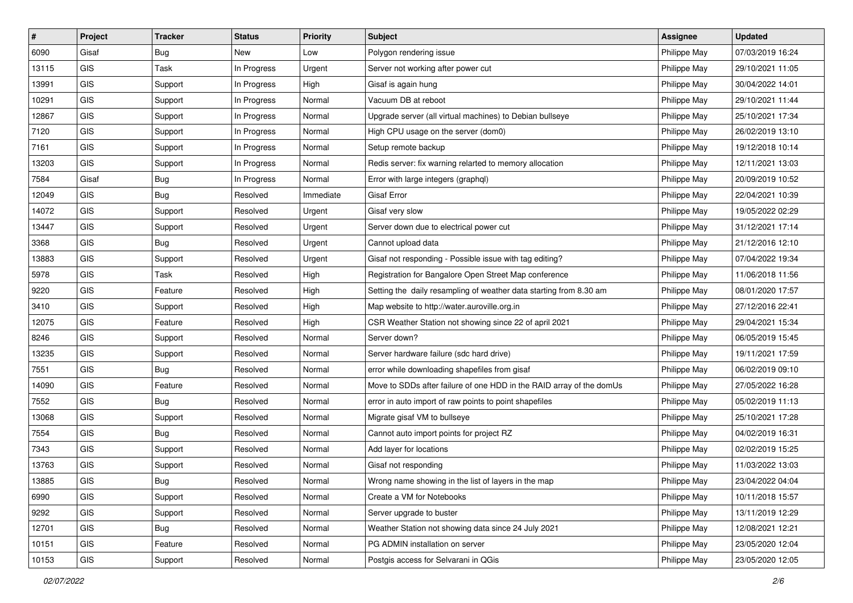| #     | Project    | <b>Tracker</b> | <b>Status</b> | <b>Priority</b> | <b>Subject</b>                                                       | <b>Assignee</b> | <b>Updated</b>   |
|-------|------------|----------------|---------------|-----------------|----------------------------------------------------------------------|-----------------|------------------|
| 6090  | Gisaf      | <b>Bug</b>     | New           | Low             | Polygon rendering issue                                              | Philippe May    | 07/03/2019 16:24 |
| 13115 | GIS        | Task           | In Progress   | Urgent          | Server not working after power cut                                   | Philippe May    | 29/10/2021 11:05 |
| 13991 | <b>GIS</b> | Support        | In Progress   | High            | Gisaf is again hung                                                  | Philippe May    | 30/04/2022 14:01 |
| 10291 | GIS        | Support        | In Progress   | Normal          | Vacuum DB at reboot                                                  | Philippe May    | 29/10/2021 11:44 |
| 12867 | GIS        | Support        | In Progress   | Normal          | Upgrade server (all virtual machines) to Debian bullseye             | Philippe May    | 25/10/2021 17:34 |
| 7120  | <b>GIS</b> | Support        | In Progress   | Normal          | High CPU usage on the server (dom0)                                  | Philippe May    | 26/02/2019 13:10 |
| 7161  | GIS        | Support        | In Progress   | Normal          | Setup remote backup                                                  | Philippe May    | 19/12/2018 10:14 |
| 13203 | GIS        | Support        | In Progress   | Normal          | Redis server: fix warning relarted to memory allocation              | Philippe May    | 12/11/2021 13:03 |
| 7584  | Gisaf      | Bug            | In Progress   | Normal          | Error with large integers (graphql)                                  | Philippe May    | 20/09/2019 10:52 |
| 12049 | <b>GIS</b> | Bug            | Resolved      | Immediate       | <b>Gisaf Error</b>                                                   | Philippe May    | 22/04/2021 10:39 |
| 14072 | GIS        | Support        | Resolved      | Urgent          | Gisaf very slow                                                      | Philippe May    | 19/05/2022 02:29 |
| 13447 | GIS        | Support        | Resolved      | Urgent          | Server down due to electrical power cut                              | Philippe May    | 31/12/2021 17:14 |
| 3368  | GIS        | Bug            | Resolved      | Urgent          | Cannot upload data                                                   | Philippe May    | 21/12/2016 12:10 |
| 13883 | GIS        | Support        | Resolved      | Urgent          | Gisaf not responding - Possible issue with tag editing?              | Philippe May    | 07/04/2022 19:34 |
| 5978  | GIS        | Task           | Resolved      | High            | Registration for Bangalore Open Street Map conference                | Philippe May    | 11/06/2018 11:56 |
| 9220  | GIS        | Feature        | Resolved      | High            | Setting the daily resampling of weather data starting from 8.30 am   | Philippe May    | 08/01/2020 17:57 |
| 3410  | GIS        | Support        | Resolved      | High            | Map website to http://water.auroville.org.in                         | Philippe May    | 27/12/2016 22:41 |
| 12075 | GIS        | Feature        | Resolved      | High            | CSR Weather Station not showing since 22 of april 2021               | Philippe May    | 29/04/2021 15:34 |
| 8246  | GIS        | Support        | Resolved      | Normal          | Server down?                                                         | Philippe May    | 06/05/2019 15:45 |
| 13235 | GIS        | Support        | Resolved      | Normal          | Server hardware failure (sdc hard drive)                             | Philippe May    | 19/11/2021 17:59 |
| 7551  | GIS        | <b>Bug</b>     | Resolved      | Normal          | error while downloading shapefiles from gisaf                        | Philippe May    | 06/02/2019 09:10 |
| 14090 | GIS        | Feature        | Resolved      | Normal          | Move to SDDs after failure of one HDD in the RAID array of the domUs | Philippe May    | 27/05/2022 16:28 |
| 7552  | GIS        | <b>Bug</b>     | Resolved      | Normal          | error in auto import of raw points to point shapefiles               | Philippe May    | 05/02/2019 11:13 |
| 13068 | GIS        | Support        | Resolved      | Normal          | Migrate gisaf VM to bullseye                                         | Philippe May    | 25/10/2021 17:28 |
| 7554  | GIS        | Bug            | Resolved      | Normal          | Cannot auto import points for project RZ                             | Philippe May    | 04/02/2019 16:31 |
| 7343  | GIS        | Support        | Resolved      | Normal          | Add layer for locations                                              | Philippe May    | 02/02/2019 15:25 |
| 13763 | GIS        | Support        | Resolved      | Normal          | Gisaf not responding                                                 | Philippe May    | 11/03/2022 13:03 |
| 13885 | GIS        | Bug            | Resolved      | Normal          | Wrong name showing in the list of layers in the map                  | Philippe May    | 23/04/2022 04:04 |
| 6990  | <b>GIS</b> | Support        | Resolved      | Normal          | Create a VM for Notebooks                                            | Philippe May    | 10/11/2018 15:57 |
| 9292  | GIS        | Support        | Resolved      | Normal          | Server upgrade to buster                                             | Philippe May    | 13/11/2019 12:29 |
| 12701 | GIS        | Bug            | Resolved      | Normal          | Weather Station not showing data since 24 July 2021                  | Philippe May    | 12/08/2021 12:21 |
| 10151 | GIS        | Feature        | Resolved      | Normal          | PG ADMIN installation on server                                      | Philippe May    | 23/05/2020 12:04 |
| 10153 | GIS        | Support        | Resolved      | Normal          | Postgis access for Selvarani in QGis                                 | Philippe May    | 23/05/2020 12:05 |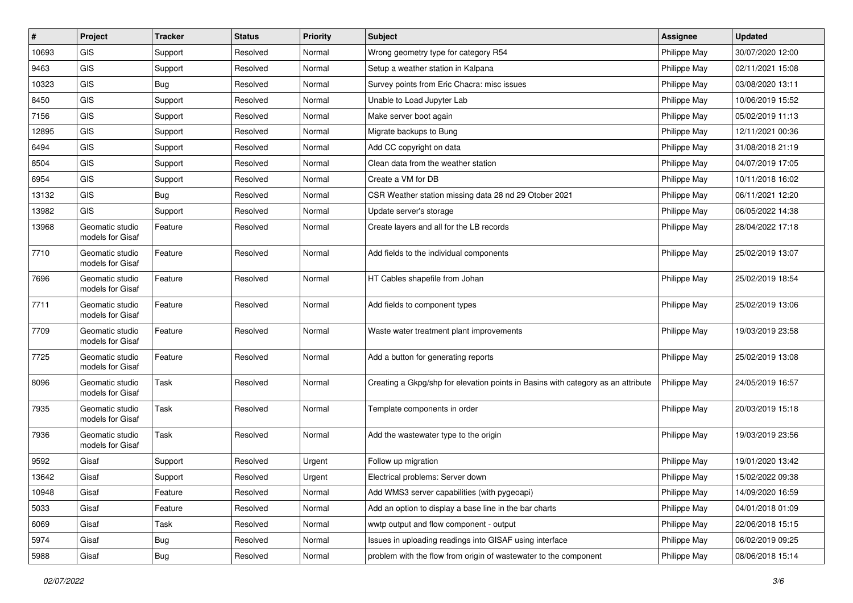| $\pmb{\sharp}$ | Project                             | <b>Tracker</b> | <b>Status</b> | <b>Priority</b> | <b>Subject</b>                                                                   | <b>Assignee</b> | <b>Updated</b>   |
|----------------|-------------------------------------|----------------|---------------|-----------------|----------------------------------------------------------------------------------|-----------------|------------------|
| 10693          | <b>GIS</b>                          | Support        | Resolved      | Normal          | Wrong geometry type for category R54                                             | Philippe May    | 30/07/2020 12:00 |
| 9463           | GIS                                 | Support        | Resolved      | Normal          | Setup a weather station in Kalpana                                               | Philippe May    | 02/11/2021 15:08 |
| 10323          | GIS                                 | Bug            | Resolved      | Normal          | Survey points from Eric Chacra: misc issues                                      | Philippe May    | 03/08/2020 13:11 |
| 8450           | GIS                                 | Support        | Resolved      | Normal          | Unable to Load Jupyter Lab                                                       | Philippe May    | 10/06/2019 15:52 |
| 7156           | GIS                                 | Support        | Resolved      | Normal          | Make server boot again                                                           | Philippe May    | 05/02/2019 11:13 |
| 12895          | GIS                                 | Support        | Resolved      | Normal          | Migrate backups to Bung                                                          | Philippe May    | 12/11/2021 00:36 |
| 6494           | GIS                                 | Support        | Resolved      | Normal          | Add CC copyright on data                                                         | Philippe May    | 31/08/2018 21:19 |
| 8504           | GIS                                 | Support        | Resolved      | Normal          | Clean data from the weather station                                              | Philippe May    | 04/07/2019 17:05 |
| 6954           | GIS                                 | Support        | Resolved      | Normal          | Create a VM for DB                                                               | Philippe May    | 10/11/2018 16:02 |
| 13132          | GIS                                 | Bug            | Resolved      | Normal          | CSR Weather station missing data 28 nd 29 Otober 2021                            | Philippe May    | 06/11/2021 12:20 |
| 13982          | GIS                                 | Support        | Resolved      | Normal          | Update server's storage                                                          | Philippe May    | 06/05/2022 14:38 |
| 13968          | Geomatic studio<br>models for Gisaf | Feature        | Resolved      | Normal          | Create layers and all for the LB records                                         | Philippe May    | 28/04/2022 17:18 |
| 7710           | Geomatic studio<br>models for Gisaf | Feature        | Resolved      | Normal          | Add fields to the individual components                                          | Philippe May    | 25/02/2019 13:07 |
| 7696           | Geomatic studio<br>models for Gisaf | Feature        | Resolved      | Normal          | HT Cables shapefile from Johan                                                   | Philippe May    | 25/02/2019 18:54 |
| 7711           | Geomatic studio<br>models for Gisaf | Feature        | Resolved      | Normal          | Add fields to component types                                                    | Philippe May    | 25/02/2019 13:06 |
| 7709           | Geomatic studio<br>models for Gisaf | Feature        | Resolved      | Normal          | Waste water treatment plant improvements                                         | Philippe May    | 19/03/2019 23:58 |
| 7725           | Geomatic studio<br>models for Gisaf | Feature        | Resolved      | Normal          | Add a button for generating reports                                              | Philippe May    | 25/02/2019 13:08 |
| 8096           | Geomatic studio<br>models for Gisaf | Task           | Resolved      | Normal          | Creating a Gkpg/shp for elevation points in Basins with category as an attribute | Philippe May    | 24/05/2019 16:57 |
| 7935           | Geomatic studio<br>models for Gisaf | Task           | Resolved      | Normal          | Template components in order                                                     | Philippe May    | 20/03/2019 15:18 |
| 7936           | Geomatic studio<br>models for Gisaf | Task           | Resolved      | Normal          | Add the wastewater type to the origin                                            | Philippe May    | 19/03/2019 23:56 |
| 9592           | Gisaf                               | Support        | Resolved      | Urgent          | Follow up migration                                                              | Philippe May    | 19/01/2020 13:42 |
| 13642          | Gisaf                               | Support        | Resolved      | Urgent          | Electrical problems: Server down                                                 | Philippe May    | 15/02/2022 09:38 |
| 10948          | Gisaf                               | Feature        | Resolved      | Normal          | Add WMS3 server capabilities (with pygeoapi)                                     | Philippe May    | 14/09/2020 16:59 |
| 5033           | Gisaf                               | Feature        | Resolved      | Normal          | Add an option to display a base line in the bar charts                           | Philippe May    | 04/01/2018 01:09 |
| 6069           | Gisaf                               | Task           | Resolved      | Normal          | wwtp output and flow component - output                                          | Philippe May    | 22/06/2018 15:15 |
| 5974           | Gisaf                               | Bug            | Resolved      | Normal          | Issues in uploading readings into GISAF using interface                          | Philippe May    | 06/02/2019 09:25 |
| 5988           | Gisaf                               | Bug            | Resolved      | Normal          | problem with the flow from origin of wastewater to the component                 | Philippe May    | 08/06/2018 15:14 |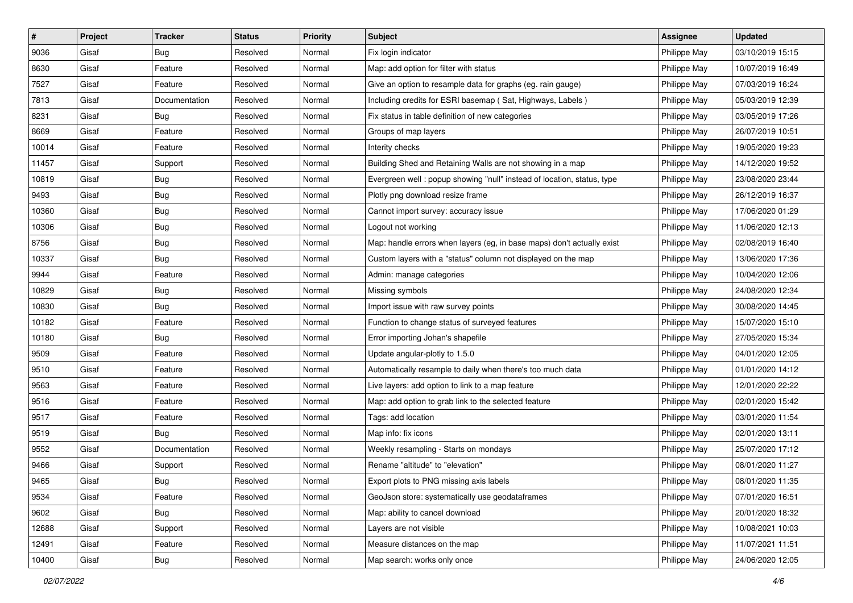| #     | Project | <b>Tracker</b> | <b>Status</b> | <b>Priority</b> | Subject                                                                | <b>Assignee</b> | <b>Updated</b>   |
|-------|---------|----------------|---------------|-----------------|------------------------------------------------------------------------|-----------------|------------------|
| 9036  | Gisaf   | <b>Bug</b>     | Resolved      | Normal          | Fix login indicator                                                    | Philippe May    | 03/10/2019 15:15 |
| 8630  | Gisaf   | Feature        | Resolved      | Normal          | Map: add option for filter with status                                 | Philippe May    | 10/07/2019 16:49 |
| 7527  | Gisaf   | Feature        | Resolved      | Normal          | Give an option to resample data for graphs (eg. rain gauge)            | Philippe May    | 07/03/2019 16:24 |
| 7813  | Gisaf   | Documentation  | Resolved      | Normal          | Including credits for ESRI basemap (Sat, Highways, Labels)             | Philippe May    | 05/03/2019 12:39 |
| 8231  | Gisaf   | <b>Bug</b>     | Resolved      | Normal          | Fix status in table definition of new categories                       | Philippe May    | 03/05/2019 17:26 |
| 8669  | Gisaf   | Feature        | Resolved      | Normal          | Groups of map layers                                                   | Philippe May    | 26/07/2019 10:51 |
| 10014 | Gisaf   | Feature        | Resolved      | Normal          | Interity checks                                                        | Philippe May    | 19/05/2020 19:23 |
| 11457 | Gisaf   | Support        | Resolved      | Normal          | Building Shed and Retaining Walls are not showing in a map             | Philippe May    | 14/12/2020 19:52 |
| 10819 | Gisaf   | Bug            | Resolved      | Normal          | Evergreen well: popup showing "null" instead of location, status, type | Philippe May    | 23/08/2020 23:44 |
| 9493  | Gisaf   | Bug            | Resolved      | Normal          | Plotly png download resize frame                                       | Philippe May    | 26/12/2019 16:37 |
| 10360 | Gisaf   | <b>Bug</b>     | Resolved      | Normal          | Cannot import survey: accuracy issue                                   | Philippe May    | 17/06/2020 01:29 |
| 10306 | Gisaf   | <b>Bug</b>     | Resolved      | Normal          | Logout not working                                                     | Philippe May    | 11/06/2020 12:13 |
| 8756  | Gisaf   | Bug            | Resolved      | Normal          | Map: handle errors when layers (eg, in base maps) don't actually exist | Philippe May    | 02/08/2019 16:40 |
| 10337 | Gisaf   | <b>Bug</b>     | Resolved      | Normal          | Custom layers with a "status" column not displayed on the map          | Philippe May    | 13/06/2020 17:36 |
| 9944  | Gisaf   | Feature        | Resolved      | Normal          | Admin: manage categories                                               | Philippe May    | 10/04/2020 12:06 |
| 10829 | Gisaf   | <b>Bug</b>     | Resolved      | Normal          | Missing symbols                                                        | Philippe May    | 24/08/2020 12:34 |
| 10830 | Gisaf   | <b>Bug</b>     | Resolved      | Normal          | Import issue with raw survey points                                    | Philippe May    | 30/08/2020 14:45 |
| 10182 | Gisaf   | Feature        | Resolved      | Normal          | Function to change status of surveyed features                         | Philippe May    | 15/07/2020 15:10 |
| 10180 | Gisaf   | <b>Bug</b>     | Resolved      | Normal          | Error importing Johan's shapefile                                      | Philippe May    | 27/05/2020 15:34 |
| 9509  | Gisaf   | Feature        | Resolved      | Normal          | Update angular-plotly to 1.5.0                                         | Philippe May    | 04/01/2020 12:05 |
| 9510  | Gisaf   | Feature        | Resolved      | Normal          | Automatically resample to daily when there's too much data             | Philippe May    | 01/01/2020 14:12 |
| 9563  | Gisaf   | Feature        | Resolved      | Normal          | Live layers: add option to link to a map feature                       | Philippe May    | 12/01/2020 22:22 |
| 9516  | Gisaf   | Feature        | Resolved      | Normal          | Map: add option to grab link to the selected feature                   | Philippe May    | 02/01/2020 15:42 |
| 9517  | Gisaf   | Feature        | Resolved      | Normal          | Tags: add location                                                     | Philippe May    | 03/01/2020 11:54 |
| 9519  | Gisaf   | <b>Bug</b>     | Resolved      | Normal          | Map info: fix icons                                                    | Philippe May    | 02/01/2020 13:11 |
| 9552  | Gisaf   | Documentation  | Resolved      | Normal          | Weekly resampling - Starts on mondays                                  | Philippe May    | 25/07/2020 17:12 |
| 9466  | Gisaf   | Support        | Resolved      | Normal          | Rename "altitude" to "elevation"                                       | Philippe May    | 08/01/2020 11:27 |
| 9465  | Gisaf   | <b>Bug</b>     | Resolved      | Normal          | Export plots to PNG missing axis labels                                | Philippe May    | 08/01/2020 11:35 |
| 9534  | Gisaf   | Feature        | Resolved      | Normal          | GeoJson store: systematically use geodataframes                        | Philippe May    | 07/01/2020 16:51 |
| 9602  | Gisaf   | Bug            | Resolved      | Normal          | Map: ability to cancel download                                        | Philippe May    | 20/01/2020 18:32 |
| 12688 | Gisaf   | Support        | Resolved      | Normal          | Layers are not visible                                                 | Philippe May    | 10/08/2021 10:03 |
| 12491 | Gisaf   | Feature        | Resolved      | Normal          | Measure distances on the map                                           | Philippe May    | 11/07/2021 11:51 |
| 10400 | Gisaf   | Bug            | Resolved      | Normal          | Map search: works only once                                            | Philippe May    | 24/06/2020 12:05 |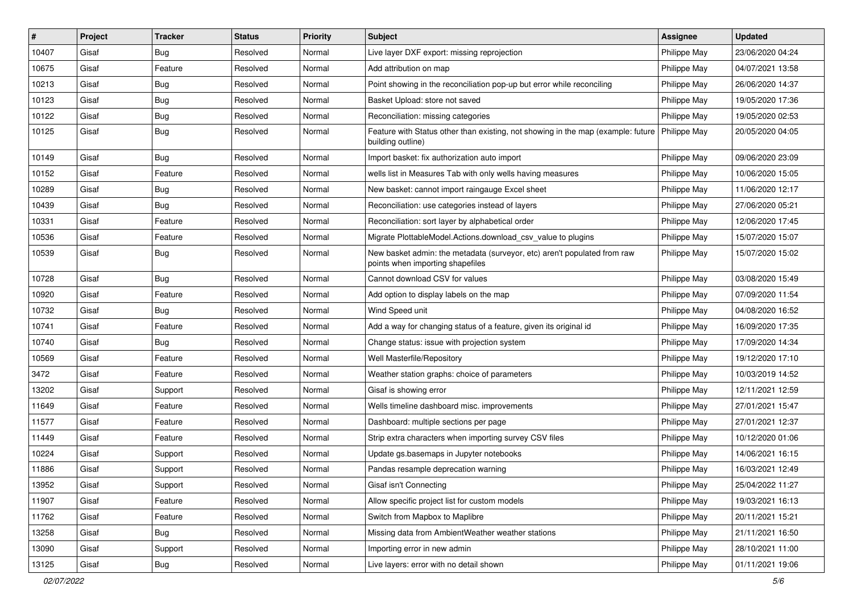| #     | Project | <b>Tracker</b> | <b>Status</b> | <b>Priority</b> | <b>Subject</b>                                                                                               | <b>Assignee</b> | <b>Updated</b>   |
|-------|---------|----------------|---------------|-----------------|--------------------------------------------------------------------------------------------------------------|-----------------|------------------|
| 10407 | Gisaf   | <b>Bug</b>     | Resolved      | Normal          | Live layer DXF export: missing reprojection                                                                  | Philippe May    | 23/06/2020 04:24 |
| 10675 | Gisaf   | Feature        | Resolved      | Normal          | Add attribution on map                                                                                       | Philippe May    | 04/07/2021 13:58 |
| 10213 | Gisaf   | Bug            | Resolved      | Normal          | Point showing in the reconciliation pop-up but error while reconciling                                       | Philippe May    | 26/06/2020 14:37 |
| 10123 | Gisaf   | Bug            | Resolved      | Normal          | Basket Upload: store not saved                                                                               | Philippe May    | 19/05/2020 17:36 |
| 10122 | Gisaf   | <b>Bug</b>     | Resolved      | Normal          | Reconciliation: missing categories                                                                           | Philippe May    | 19/05/2020 02:53 |
| 10125 | Gisaf   | <b>Bug</b>     | Resolved      | Normal          | Feature with Status other than existing, not showing in the map (example: future<br>building outline)        | Philippe May    | 20/05/2020 04:05 |
| 10149 | Gisaf   | Bug            | Resolved      | Normal          | Import basket: fix authorization auto import                                                                 | Philippe May    | 09/06/2020 23:09 |
| 10152 | Gisaf   | Feature        | Resolved      | Normal          | wells list in Measures Tab with only wells having measures                                                   | Philippe May    | 10/06/2020 15:05 |
| 10289 | Gisaf   | Bug            | Resolved      | Normal          | New basket: cannot import raingauge Excel sheet                                                              | Philippe May    | 11/06/2020 12:17 |
| 10439 | Gisaf   | <b>Bug</b>     | Resolved      | Normal          | Reconciliation: use categories instead of layers                                                             | Philippe May    | 27/06/2020 05:21 |
| 10331 | Gisaf   | Feature        | Resolved      | Normal          | Reconciliation: sort layer by alphabetical order                                                             | Philippe May    | 12/06/2020 17:45 |
| 10536 | Gisaf   | Feature        | Resolved      | Normal          | Migrate PlottableModel.Actions.download csv value to plugins                                                 | Philippe May    | 15/07/2020 15:07 |
| 10539 | Gisaf   | <b>Bug</b>     | Resolved      | Normal          | New basket admin: the metadata (surveyor, etc) aren't populated from raw<br>points when importing shapefiles | Philippe May    | 15/07/2020 15:02 |
| 10728 | Gisaf   | Bug            | Resolved      | Normal          | Cannot download CSV for values                                                                               | Philippe May    | 03/08/2020 15:49 |
| 10920 | Gisaf   | Feature        | Resolved      | Normal          | Add option to display labels on the map                                                                      | Philippe May    | 07/09/2020 11:54 |
| 10732 | Gisaf   | Bug            | Resolved      | Normal          | Wind Speed unit                                                                                              | Philippe May    | 04/08/2020 16:52 |
| 10741 | Gisaf   | Feature        | Resolved      | Normal          | Add a way for changing status of a feature, given its original id                                            | Philippe May    | 16/09/2020 17:35 |
| 10740 | Gisaf   | Bug            | Resolved      | Normal          | Change status: issue with projection system                                                                  | Philippe May    | 17/09/2020 14:34 |
| 10569 | Gisaf   | Feature        | Resolved      | Normal          | Well Masterfile/Repository                                                                                   | Philippe May    | 19/12/2020 17:10 |
| 3472  | Gisaf   | Feature        | Resolved      | Normal          | Weather station graphs: choice of parameters                                                                 | Philippe May    | 10/03/2019 14:52 |
| 13202 | Gisaf   | Support        | Resolved      | Normal          | Gisaf is showing error                                                                                       | Philippe May    | 12/11/2021 12:59 |
| 11649 | Gisaf   | Feature        | Resolved      | Normal          | Wells timeline dashboard misc. improvements                                                                  | Philippe May    | 27/01/2021 15:47 |
| 11577 | Gisaf   | Feature        | Resolved      | Normal          | Dashboard: multiple sections per page                                                                        | Philippe May    | 27/01/2021 12:37 |
| 11449 | Gisaf   | Feature        | Resolved      | Normal          | Strip extra characters when importing survey CSV files                                                       | Philippe May    | 10/12/2020 01:06 |
| 10224 | Gisaf   | Support        | Resolved      | Normal          | Update gs.basemaps in Jupyter notebooks                                                                      | Philippe May    | 14/06/2021 16:15 |
| 11886 | Gisaf   | Support        | Resolved      | Normal          | Pandas resample deprecation warning                                                                          | Philippe May    | 16/03/2021 12:49 |
| 13952 | Gisaf   | Support        | Resolved      | Normal          | Gisaf isn't Connecting                                                                                       | Philippe May    | 25/04/2022 11:27 |
| 11907 | Gisaf   | Feature        | Resolved      | Normal          | Allow specific project list for custom models                                                                | Philippe May    | 19/03/2021 16:13 |
| 11762 | Gisaf   | Feature        | Resolved      | Normal          | Switch from Mapbox to Maplibre                                                                               | Philippe May    | 20/11/2021 15:21 |
| 13258 | Gisaf   | <b>Bug</b>     | Resolved      | Normal          | Missing data from AmbientWeather weather stations                                                            | Philippe May    | 21/11/2021 16:50 |
| 13090 | Gisaf   | Support        | Resolved      | Normal          | Importing error in new admin                                                                                 | Philippe May    | 28/10/2021 11:00 |
| 13125 | Gisaf   | <b>Bug</b>     | Resolved      | Normal          | Live layers: error with no detail shown                                                                      | Philippe May    | 01/11/2021 19:06 |